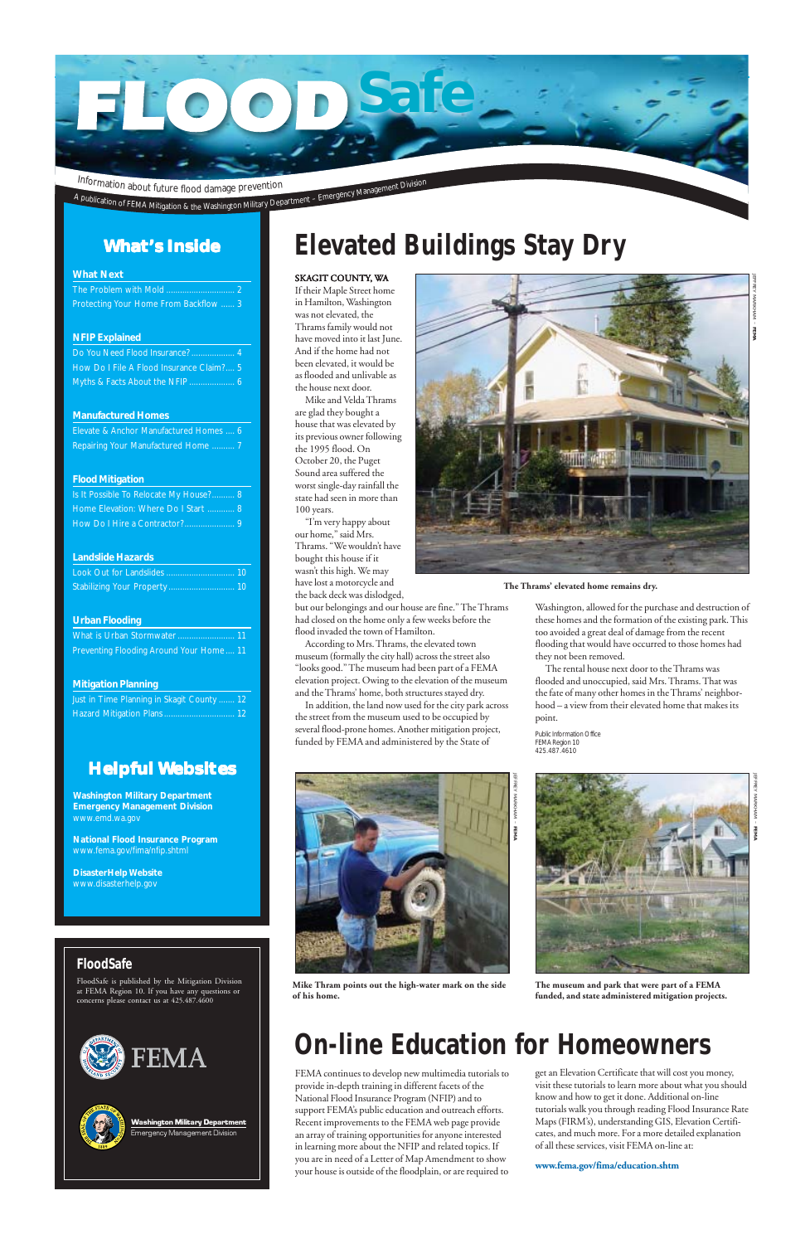#### SKAGIT COUNTY, WA

If their Maple Street home in Hamilton, Washington was not elevated, the Thrams family would not have moved into it last June. And if the home had not been elevated, it would be as flooded and unlivable as the house next door.

Mike and Velda Thrams are glad they bought a house that was elevated by its previous owner following the 1995 flood. On October 20, the Puget Sound area suffered the worst single-day rainfall the state had seen in more than 100 years.

"I'm very happy about our home," said Mrs. Thrams. "We wouldn't have bought this house if it wasn't this high. We may have lost a motorcycle and the back deck was dislodged,

but our belongings and our house are fine." The Thrams had closed on the home only a few weeks before the flood invaded the town of Hamilton.

According to Mrs. Thrams, the elevated town museum (formally the city hall) across the street also "looks good." The museum had been part of a FEMA elevation project. Owing to the elevation of the museum and the Thrams' home, both structures stayed dry.

In addition, the land now used for the city park across the street from the museum used to be occupied by several flood-prone homes. Another mitigation project, funded by FEMA and administered by the State of

### **FloodSafe**

FloodSafe is published by the Mitigation Division at FEMA Region 10. If you have any questions or concerns please contact us at 425.487.4600







## **What's Inside**

#### **What Next**

| Protecting Your Home From Backflow  3                                                                                                                                                                                                                                             |
|-----------------------------------------------------------------------------------------------------------------------------------------------------------------------------------------------------------------------------------------------------------------------------------|
|                                                                                                                                                                                                                                                                                   |
| <b>NFIP Explained</b>                                                                                                                                                                                                                                                             |
| Do You Need Flood Insurance?  4                                                                                                                                                                                                                                                   |
| How Do I File A Flood Insurance Claim?  5                                                                                                                                                                                                                                         |
|                                                                                                                                                                                                                                                                                   |
|                                                                                                                                                                                                                                                                                   |
| <b>Manufactured Homes</b>                                                                                                                                                                                                                                                         |
| Elevate & Anchor Manufactured Homes  6                                                                                                                                                                                                                                            |
| Repairing Your Manufactured Home  7                                                                                                                                                                                                                                               |
|                                                                                                                                                                                                                                                                                   |
| <b>Flood Mitigation</b>                                                                                                                                                                                                                                                           |
| Is It Possible To Relocate My House? 8                                                                                                                                                                                                                                            |
| Home Elevation: Where Do I Start  8                                                                                                                                                                                                                                               |
| How Do I Hire a Contractor?  9                                                                                                                                                                                                                                                    |
|                                                                                                                                                                                                                                                                                   |
| <b>Landslide Hazards</b><br>$\mathcal{L}(\mathcal{L})$ and $\mathcal{L}(\mathcal{L})$ are the set of the set of the set of the set of the set of the set of the set of the set of the set of the set of the set of the set of the set of the set of the set of the set of the set |
| Look Out for Landslides  10                                                                                                                                                                                                                                                       |
| Stabilizing Your Property  10                                                                                                                                                                                                                                                     |
|                                                                                                                                                                                                                                                                                   |
| <b>Urban Flooding</b>                                                                                                                                                                                                                                                             |
| What is Urban Stormwater  11                                                                                                                                                                                                                                                      |
| Preventing Flooding Around Your Home  11                                                                                                                                                                                                                                          |
|                                                                                                                                                                                                                                                                                   |
| <b>Mitigation Planning</b>                                                                                                                                                                                                                                                        |
| Just in Time Planning in Skagit County  12                                                                                                                                                                                                                                        |
| Hazard Mitigation Plans  12                                                                                                                                                                                                                                                       |
|                                                                                                                                                                                                                                                                                   |

Washington Military Department \_\_\_\_\_\_\_\_\_\_<br>Emergency Management Divisior

## **Elevated Buildings Stay Dry**

## **On-line Education for Homeowners**

FEMA continues to develop new multimedia tutorials to provide in-depth training in different facets of the National Flood Insurance Program (NFIP) and to support FEMA's public education and outreach efforts. Recent improvements to the FEMA web page provide an array of training opportunities for anyone interested in learning more about the NFIP and related topics. If you are in need of a Letter of Map Amendment to show your house is outside of the floodplain, or are required to

get an Elevation Certificate that will cost you money, visit these tutorials to learn more about what you should know and how to get it done. Additional on-line tutorials walk you through reading Flood Insurance Rate Maps (FIRM's), understanding GIS, Elevation Certificates, and much more. For a more detailed explanation of all these services, visit FEMA on-line at:

**www.fema.gov/fima/education.shtm**

Washington, allowed for the purchase and destruction of these homes and the formation of the existing park. This too avoided a great deal of damage from the recent flooding that would have occurred to those homes had they not been removed.

The rental house next door to the Thrams was flooded and unoccupied, said Mrs. Thrams. That was the fate of many other homes in the Thrams' neighborhood – a view from their elevated home that makes its point.

Public Information Office FEMA Region 10 425.487.4610



## **Helpful Websites**

**Washington Military Department Emergency Management Division** www.emd.wa.gov

**National Flood Insurance Program** www.fema.gov/fima/nfip.shtml

**DisasterHelp Website** www.disasterhelp.gov



**The Thrams' elevated home remains dry.**

**Mike Thram points out the high-water mark on the side of his home.**



**The museum and park that were part of a FEMA funded, and state administered mitigation projects.**



JEFFREY MARKHAM –

**FEMA**

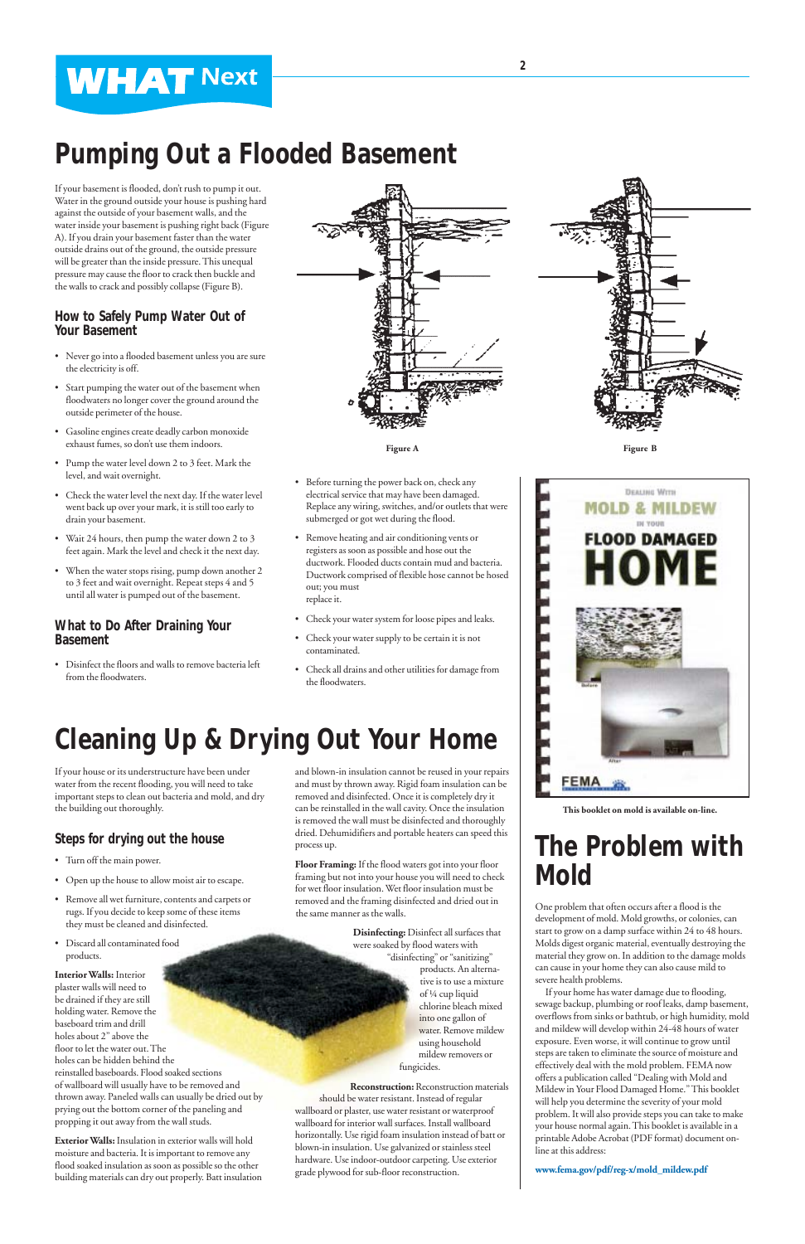# **Pumping Out a Flooded Basement**

# **Cleaning Up & Drying Out Your Home**

## **The Problem with Mold**

One problem that often occurs after a flood is the

development of mold. Mold growths, or colonies, can start to grow on a damp surface within 24 to 48 hours. Molds digest organic material, eventually destroying the material they grow on. In addition to the damage molds can cause in your home they can also cause mild to severe health problems.

If your home has water damage due to flooding, sewage backup, plumbing or roof leaks, damp basement, overflows from sinks or bathtub, or high humidity, mold and mildew will develop within 24-48 hours of water exposure. Even worse, it will continue to grow until steps are taken to eliminate the source of moisture and effectively deal with the mold problem. FEMA now offers a publication called "Dealing with Mold and Mildew in Your Flood Damaged Home." This booklet will help you determine the severity of your mold problem. It will also provide steps you can take to make your house normal again. This booklet is available in a printable Adobe Acrobat (PDF format) document online at this address:

**www.fema.gov/pdf/reg-x/mold\_mildew.pdf**

If your basement is flooded, don't rush to pump it out. Water in the ground outside your house is pushing hard against the outside of your basement walls, and the water inside your basement is pushing right back (Figure A). If you drain your basement faster than the water outside drains out of the ground, the outside pressure will be greater than the inside pressure. This unequal pressure may cause the floor to crack then buckle and the walls to crack and possibly collapse (Figure B).

### **How to Safely Pump Water Out of Your Basement**

- Never go into a flooded basement unless you are sure the electricity is off.
- Start pumping the water out of the basement when floodwaters no longer cover the ground around the outside perimeter of the house.
- Gasoline engines create deadly carbon monoxide exhaust fumes, so don't use them indoors.
- Pump the water level down 2 to 3 feet. Mark the level, and wait overnight.
- Check the water level the next day. If the water level went back up over your mark, it is still too early to drain your basement.
- Wait 24 hours, then pump the water down 2 to 3 feet again. Mark the level and check it the next day.
- When the water stops rising, pump down another 2 to 3 feet and wait overnight. Repeat steps 4 and 5 until all water is pumped out of the basement.

### **What to Do After Draining Your Basement**

• Disinfect the floors and walls to remove bacteria left from the floodwaters.





Figure A Figure B

- Before turning the power back on, check any electrical service that may have been damaged. Replace any wiring, switches, and/or outlets that were submerged or got wet during the flood.
- Remove heating and air conditioning vents or registers as soon as possible and hose out the ductwork. Flooded ducts contain mud and bacteria. Ductwork comprised of flexible hose cannot be hosed out; you must replace it.
- Check your water system for loose pipes and leaks.
- Check your water supply to be certain it is not contaminated.
- Check all drains and other utilities for damage from the floodwaters.

If your house or its understructure have been under water from the recent flooding, you will need to take important steps to clean out bacteria and mold, and dry the building out thoroughly.

## **Steps for drying out the house**

- Turn off the main power.
- Open up the house to allow moist air to escape.
- Remove all wet furniture, contents and carpets or rugs. If you decide to keep some of these items

they must be cleaned and disinfected.

• Discard all contaminated food products.

**Interior Walls:** Interior plaster walls will need to be drained if they are still holding water. Remove the baseboard trim and drill holes about 2" above the floor to let the water out. The holes can be hidden behind the reinstalled baseboards. Flood soaked sections of wallboard will usually have to be removed and thrown away. Paneled walls can usually be dried out by prying out the bottom corner of the paneling and propping it out away from the wall studs.

**Exterior Walls:** Insulation in exterior walls will hold moisture and bacteria. It is important to remove any flood soaked insulation as soon as possible so the other building materials can dry out properly. Batt insulation and blown-in insulation cannot be reused in your repairs and must by thrown away. Rigid foam insulation can be removed and disinfected. Once it is completely dry it can be reinstalled in the wall cavity. Once the insulation is removed the wall must be disinfected and thoroughly dried. Dehumidifiers and portable heaters can speed this process up.

**Floor Framing:** If the flood waters got into your floor framing but not into your house you will need to check for wet floor insulation. Wet floor insulation must be removed and the framing disinfected and dried out in the same manner as the walls.

**Disinfecting:** Disinfect all surfaces that were soaked by flood waters with "disinfecting" or "sanitizing" products. An alternative is to use a mixture of ¼ cup liquid chlorine bleach mixed into one gallon of water. Remove mildew using household mildew removers or fungicides.

**Reconstruction:** Reconstruction materials should be water resistant. Instead of regular wallboard or plaster, use water resistant or waterproof wallboard for interior wall surfaces. Install wallboard horizontally. Use rigid foam insulation instead of batt or blown-in insulation. Use galvanized or stainless steel hardware. Use indoor-outdoor carpeting. Use exterior grade plywood for sub-floor reconstruction.



**This booklet on mold is available on-line.**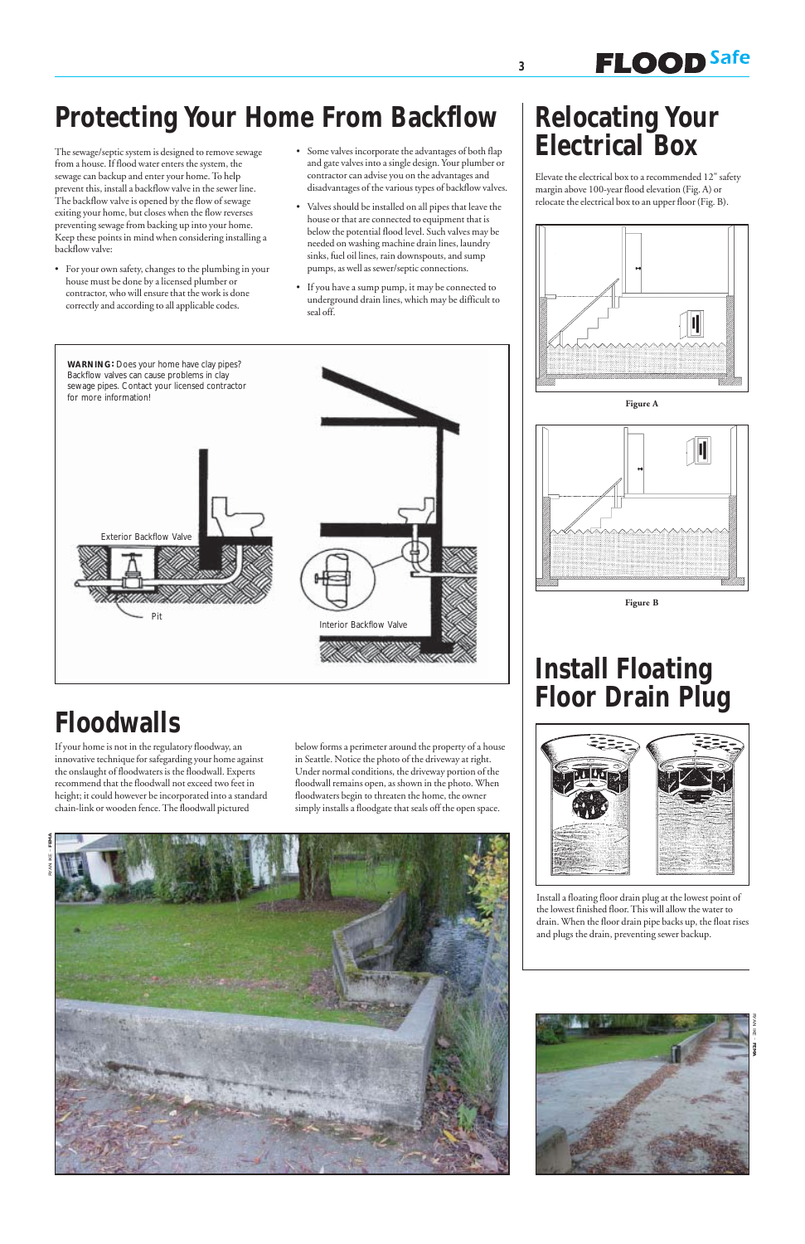# **Install Floating Floor Drain Plug**



Install a floating floor drain plug at the lowest point of the lowest finished floor. This will allow the water to

drain. When the floor drain pipe backs up, the float rises and plugs the drain, preventing sewer backup.

# **Protecting Your Home From Backflow**

The sewage/septic system is designed to remove sewage from a house. If flood water enters the system, the sewage can backup and enter your home. To help prevent this, install a backflow valve in the sewer line. The backflow valve is opened by the flow of sewage exiting your home, but closes when the flow reverses preventing sewage from backing up into your home. Keep these points in mind when considering installing a backflow valve:

- For your own safety, changes to the plumbing in your house must be done by a licensed plumber or contractor, who will ensure that the work is done correctly and according to all applicable codes.
- Some valves incorporate the advantages of both flap and gate valves into a single design. Your plumber or contractor can advise you on the advantages and disadvantages of the various types of backflow valves.
- Valves should be installed on all pipes that leave the house or that are connected to equipment that is below the potential flood level. Such valves may be needed on washing machine drain lines, laundry sinks, fuel oil lines, rain downspouts, and sump pumps, as well as sewer/septic connections.
- If you have a sump pump, it may be connected to underground drain lines, which may be difficult to seal off.

# **Relocating Your Electrical Box**

Elevate the electrical box to a recommended 12" safety margin above 100-year flood elevation (Fig. A) or relocate the electrical box to an upper floor (Fig. B).

**FLOOD** Safe











If your home is not in the regulatory floodway, an innovative technique for safegarding your home against the onslaught of floodwaters is the floodwall. Experts recommend that the floodwall not exceed two feet in height; it could however be incorporated into a standard chain-link or wooden fence. The floodwall pictured

below forms a perimeter around the property of a house in Seattle. Notice the photo of the driveway at right. Under normal conditions, the driveway portion of the floodwall remains open, as shown in the photo. When floodwaters begin to threaten the home, the owner simply installs a floodgate that seals off the open space.



# **Floodwalls**

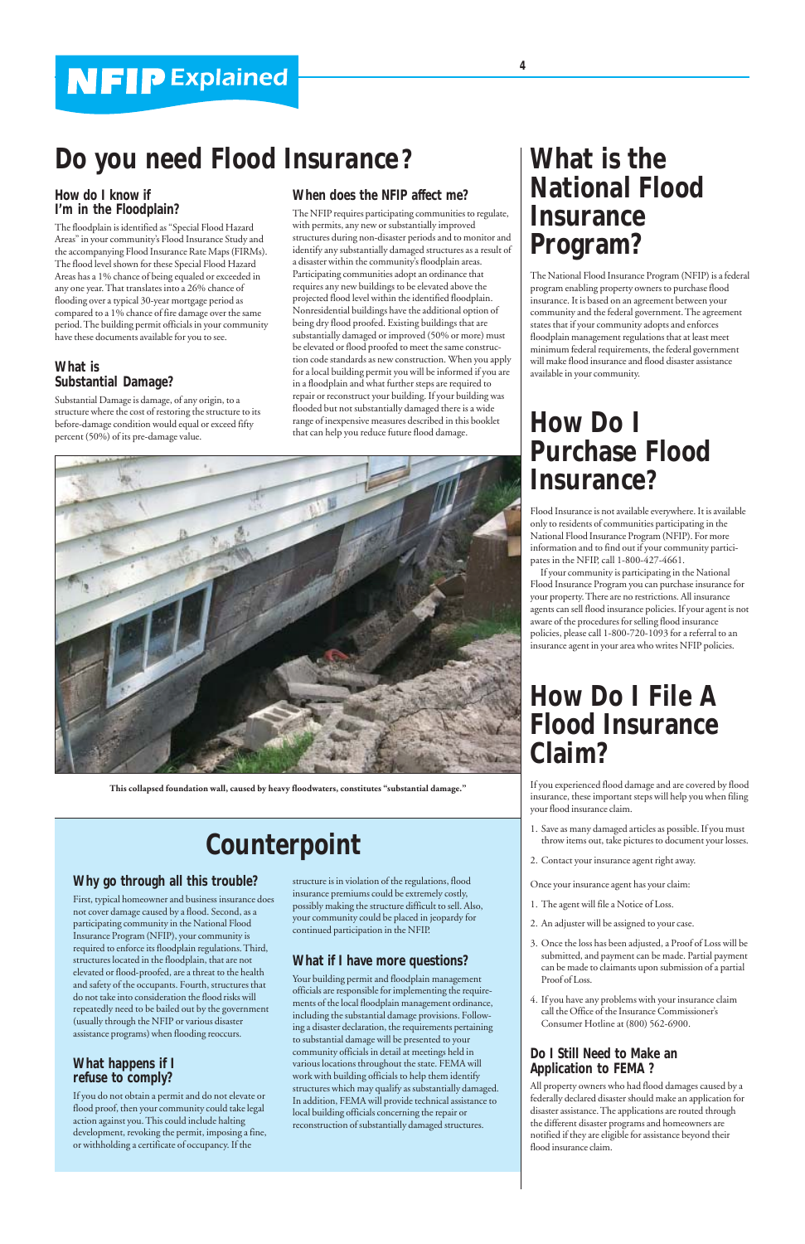## **How Do I File A Flood Insurance Claim?**

If you experienced flood damage and are covered by flood insurance, these important steps will help you when filing your flood insurance claim.

- 1. Save as many damaged articles as possible. If you must throw items out, take pictures to document your losses.
- 2. Contact your insurance agent right away.

Once your insurance agent has your claim:

1. The agent will file a Notice of Loss.

- 2. An adjuster will be assigned to your case.
- 3. Once the loss has been adjusted, a Proof of Loss will be submitted, and payment can be made. Partial payment can be made to claimants upon submission of a partial Proof of Loss.
- 4. If you have any problems with your insurance claim call the Office of the Insurance Commissioner's Consumer Hotline at (800) 562-6900.

### **Do I Still Need to Make an Application to FEMA ?**

All property owners who had flood damages caused by a federally declared disaster should make an application for disaster assistance. The applications are routed through the different disaster programs and homeowners are notified if they are eligible for assistance beyond their flood insurance claim.

## **How do I know if I'm in the Floodplain?**

The floodplain is identified as "Special Flood Hazard Areas" in your community's Flood Insurance Study and the accompanying Flood Insurance Rate Maps (FIRMs). The flood level shown for these Special Flood Hazard Areas has a 1% chance of being equaled or exceeded in any one year. That translates into a 26% chance of flooding over a typical 30-year mortgage period as compared to a 1% chance of fire damage over the same period. The building permit officials in your community have these documents available for you to see.

## **What is Substantial Damage?**

Substantial Damage is damage, of any origin, to a structure where the cost of restoring the structure to its before-damage condition would equal or exceed fifty percent (50%) of its pre-damage value.

# **Do you need Flood Insurance?**

# **Counterpoint**

## **What is the National Flood Insurance Program?**

The National Flood Insurance Program (NFIP) is a federal program enabling property owners to purchase flood insurance. It is based on an agreement between your community and the federal government. The agreement states that if your community adopts and enforces floodplain management regulations that at least meet minimum federal requirements, the federal government will make flood insurance and flood disaster assistance available in your community.

## **How Do I Purchase Flood Insurance?**

Flood Insurance is not available everywhere. It is available only to residents of communities participating in the National Flood Insurance Program (NFIP). For more information and to find out if your community participates in the NFIP, call 1-800-427-4661.

If your community is participating in the National Flood Insurance Program you can purchase insurance for your property. There are no restrictions. All insurance agents can sell flood insurance policies. If your agent is not aware of the procedures for selling flood insurance policies, please call 1-800-720-1093 for a referral to an insurance agent in your area who writes NFIP policies.

## **When does the NFIP affect me?**

The NFIP requires participating communities to regulate, with permits, any new or substantially improved structures during non-disaster periods and to monitor and identify any substantially damaged structures as a result of a disaster within the community's floodplain areas. Participating communities adopt an ordinance that requires any new buildings to be elevated above the projected flood level within the identified floodplain. Nonresidential buildings have the additional option of being dry flood proofed. Existing buildings that are substantially damaged or improved (50% or more) must be elevated or flood proofed to meet the same construction code standards as new construction. When you apply for a local building permit you will be informed if you are in a floodplain and what further steps are required to repair or reconstruct your building. If your building was flooded but not substantially damaged there is a wide range of inexpensive measures described in this booklet that can help you reduce future flood damage.

## **Why go through all this trouble?**

First, typical homeowner and business insurance does not cover damage caused by a flood. Second, as a

participating community in the National Flood Insurance Program (NFIP), your community is required to enforce its floodplain regulations. Third, structures located in the floodplain, that are not elevated or flood-proofed, are a threat to the health and safety of the occupants. Fourth, structures that do not take into consideration the flood risks will repeatedly need to be bailed out by the government (usually through the NFIP or various disaster assistance programs) when flooding reoccurs.

### **What happens if I refuse to comply?**

If you do not obtain a permit and do not elevate or flood proof, then your community could take legal action against you. This could include halting development, revoking the permit, imposing a fine, or withholding a certificate of occupancy. If the

structure is in violation of the regulations, flood insurance premiums could be extremely costly, possibly making the structure difficult to sell. Also, your community could be placed in jeopardy for continued participation in the NFIP.

### **What if I have more questions?**

Your building permit and floodplain management officials are responsible for implementing the requirements of the local floodplain management ordinance, including the substantial damage provisions. Following a disaster declaration, the requirements pertaining to substantial damage will be presented to your community officials in detail at meetings held in various locations throughout the state. FEMA will work with building officials to help them identify structures which may qualify as substantially damaged. In addition, FEMA will provide technical assistance to local building officials concerning the repair or reconstruction of substantially damaged structures.



**This collapsed foundation wall, caused by heavy floodwaters, constitutes "substantial damage."**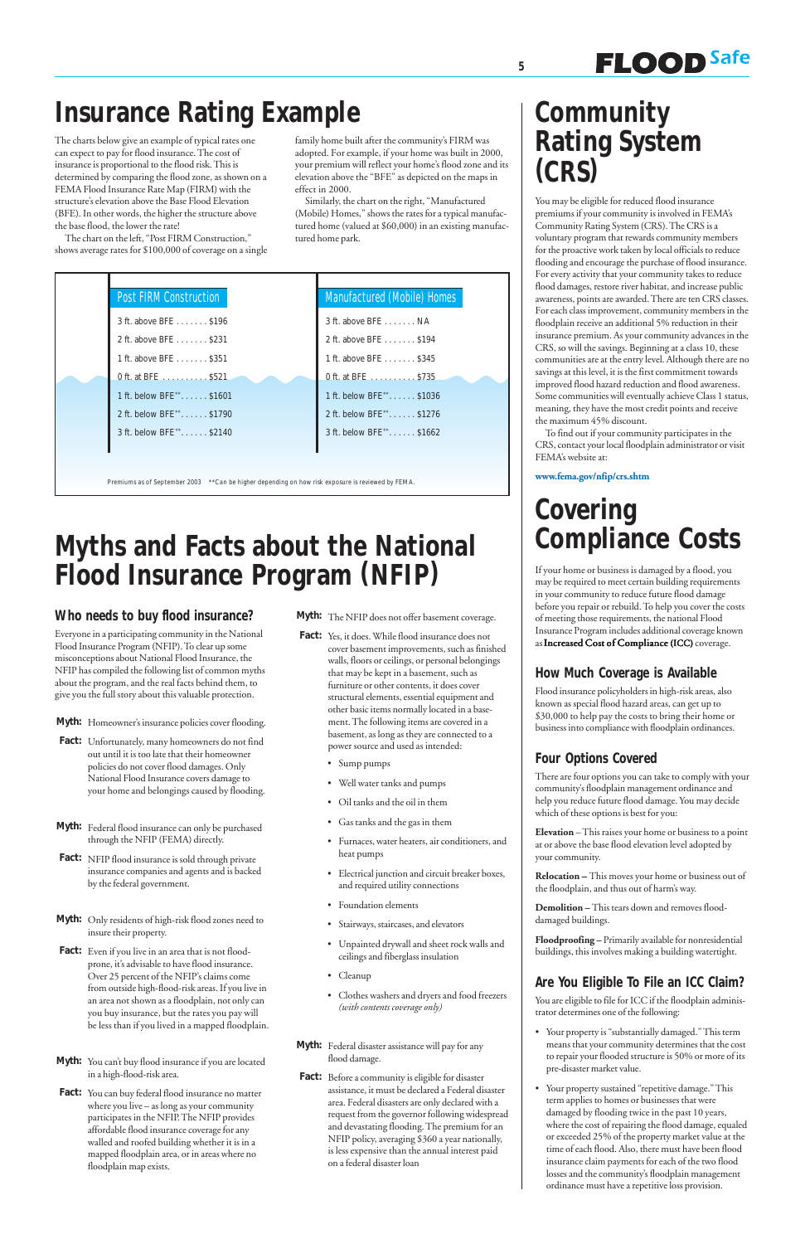## **Myths and Facts about the National Flood Insurance Program (NFIP)**

## **Community Rating System (CRS)**

**FLOOD** Safe

You may be eligible for reduced flood insurance premiums if your community is involved in FEMA's Community Rating System (CRS). The CRS is a voluntary program that rewards community members for the proactive work taken by local officials to reduce flooding and encourage the purchase of flood insurance. For every activity that your community takes to reduce flood damages, restore river habitat, and increase public awareness, points are awarded. There are ten CRS classes. For each class improvement, community members in the floodplain receive an additional 5% reduction in their insurance premium. As your community advances in the CRS, so will the savings. Beginning at a class 10, these communities are at the entry level. Although there are no savings at this level, it is the first commitment towards improved flood hazard reduction and flood awareness. Some communities will eventually achieve Class 1 status, meaning, they have the most credit points and receive the maximum 45% discount.

To find out if your community participates in the CRS, contact your local floodplain administrator or visit FEMA's website at:

**www.fema.gov/nfip/crs.shtm**

### **Who needs to buy flood insurance?**

Everyone in a participating community in the National Flood Insurance Program (NFIP). To clear up some misconceptions about National Flood Insurance, the NFIP has compiled the following list of common myths about the program, and the real facts behind them, to give you the full story about this valuable protection.

Myth: Homeowner's insurance policies cover flooding.

- Fact: Yes, it does. While flood insurance does not cover basement improvements, such as finished walls, floors or ceilings, or personal belongings that may be kept in a basement, such as furniture or other contents, it does cover structural elements, essential equipment and other basic items normally located in a basement. The following items are covered in a basement, as long as they are connected to a power source and used as intended:
	- Sump pumps
	- Well water tanks and pumps
	- Oil tanks and the oil in them
	- Gas tanks and the gas in them
	- Furnaces, water heaters, air conditioners, and heat pumps
	- Electrical junction and circuit breaker boxes, and required utility connections
	- Foundation elements
- **Fact:** Unfortunately, many homeowners do not find out until it is too late that their homeowner policies do not cover flood damages. Only National Flood Insurance covers damage to your home and belongings caused by flooding.
- **Myth:** Federal flood insurance can only be purchased through the NFIP (FEMA) directly.
- Fact: NFIP flood insurance is sold through private insurance companies and agents and is backed by the federal government.

If your home or business is damaged by a flood, you may be required to meet certain building requirements in your community to reduce future flood damage before you repair or rebuild. To help you cover the costs of meeting those requirements, the national Flood Insurance Program includes additional coverage known as Increased Cost of Compliance (ICC) coverage.

- **Myth:** Only residents of high-risk flood zones need to insure their property.
- Fact: Even if you live in an area that is not floodprone, it's advisable to have flood insurance. Over 25 percent of the NFIP's claims come from outside high-flood-risk areas. If you live in an area not shown as a floodplain, not only can you buy insurance, but the rates you pay will be less than if you lived in a mapped floodplain.
- **Myth:** You can't buy flood insurance if you are located in a high-flood-risk area.
- Fact: You can buy federal flood insurance no matter where you live – as long as your community participates in the NFIP. The NFIP provides affordable flood insurance coverage for any walled and roofed building whether it is in a mapped floodplain area, or in areas where no floodplain map exists.

You are eligible to file for ICC if the floodplain administrator determines one of the following:

**Myth:** The NFIP does not offer basement coverage.

- Stairways, staircases, and elevators
- Unpainted drywall and sheet rock walls and ceilings and fiberglass insulation
- Cleanup
- Clothes washers and dryers and food freezers *(with contents coverage only)*
- **Myth:** Federal disaster assistance will pay for any flood damage.
- Fact: Before a community is eligible for disaster assistance, it must be declared a Federal disaster area. Federal disasters are only declared with a request from the governor following widespread and devastating flooding. The premium for an NFIP policy, averaging \$360 a year nationally, is less expensive than the annual interest paid on a federal disaster loan

# **Covering Compliance Costs**

## **How Much Coverage is Available**

Flood insurance policyholders in high-risk areas, also known as special flood hazard areas, can get up to \$30,000 to help pay the costs to bring their home or business into compliance with floodplain ordinances.

## **Four Options Covered**

There are four options you can take to comply with your community's floodplain management ordinance and help you reduce future flood damage. You may decide which of these options is best for you:

**Elevation** – This raises your home or business to a point at or above the base flood elevation level adopted by your community.

**Relocation** – This moves your home or business out of the floodplain, and thus out of harm's way.

**Demolition –** This tears down and removes flood-

damaged buildings.

**Floodproofing –** Primarily available for nonresidential buildings, this involves making a building watertight.

## **Are You Eligible To File an ICC Claim?**

- Your property is "substantially damaged." This term means that your community determines that the cost to repair your flooded structure is 50% or more of its pre-disaster market value.
- Your property sustained "repetitive damage." This term applies to homes or businesses that were damaged by flooding twice in the past 10 years, where the cost of repairing the flood damage, equaled or exceeded 25% of the property market value at the time of each flood. Also, there must have been flood insurance claim payments for each of the two flood losses and the community's floodplain management ordinance must have a repetitive loss provision.

# **Insurance Rating Example**

The charts below give an example of typical rates one can expect to pay for flood insurance. The cost of insurance is proportional to the flood risk. This is determined by comparing the flood zone, as shown on a FEMA Flood Insurance Rate Map (FIRM) with the structure's elevation above the Base Flood Elevation (BFE). In other words, the higher the structure above the base flood, the lower the rate!

The chart on the left, "Post FIRM Construction," shows average rates for \$100,000 of coverage on a single family home built after the community's FIRM was adopted. For example, if your home was built in 2000, your premium will reflect your home's flood zone and its elevation above the "BFE" as depicted on the maps in effect in 2000.

Similarly, the chart on the right, "Manufactured (Mobile) Homes," shows the rates for a typical manufactured home (valued at \$60,000) in an existing manufactured home park.

| <b>Post FIRM Construction</b> | Manufactured (Mobile) Homes |
|-------------------------------|-----------------------------|
| 3 ft. above BFE \$196         | 3 ft. above BFE NA          |
| 2 ft. above BFE \$231         | 2 ft. above BFE \$194       |
| 1 ft. above BFE \$351         | 1 ft. above BFE \$345       |
| 0 ft. at BFE \$521            | 0 ft. at BFE \$735          |
| 1 ft. below BFE**. \$1601     | 1 ft. below BFE** \$1036    |
| 2 ft. below BFE**. \$1790     | 2 ft. below BFE**. \$1276   |
| 3 ft. below BFE**. \$2140     | 3 ft. below BFE** \$1662    |
|                               |                             |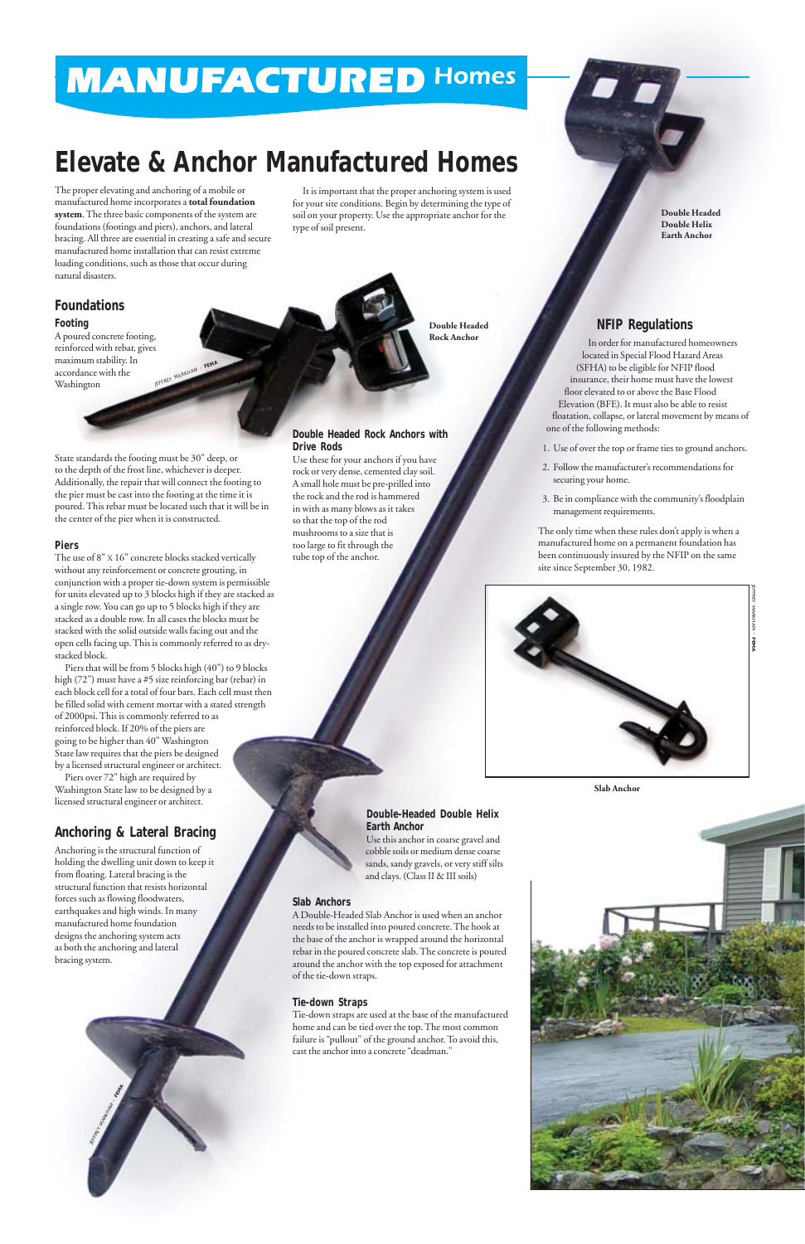The proper elevating and anchoring of a mobile or manufactured home incorporates a **total foundation system**. The three basic components of the system are foundations (footings and piers), anchors, and lateral bracing. All three are essential in creating a safe and secure manufactured home installation that can resist extreme loading conditions, such as those that occur during natural disasters.

A poured concrete footing, reinforced with rebar, gives maximum stability. In accordance with the Washington EFFREY MARKHAM -

## **Foundations**

#### **Footing**

State standards the footing must be 30" deep, or to the depth of the frost line, whichever is deeper. Additionally, the repair that will connect the footing to the pier must be cast into the footing at the time it is poured. This rebar must be located such that it will be in the center of the pier when it is constructed.

#### **Piers**

The use of 8" X 16" concrete blocks stacked vertically without any reinforcement or concrete grouting, in conjunction with a proper tie-down system is permissible for units elevated up to 3 blocks high if they are stacked as a single row. You can go up to 5 blocks high if they are stacked as a double row. In all cases the blocks must be stacked with the solid outside walls facing out and the open cells facing up. This is commonly referred to as drystacked block.

Piers that will be from 5 blocks high (40") to 9 blocks high (72") must have a #5 size reinforcing bar (rebar) in each block cell for a total of four bars. Each cell must then be filled solid with cement mortar with a stated strength of 2000psi. This is commonly referred to as reinforced block. If 20% of the piers are going to be higher than 40" Washington State law requires that the piers be designed by a licensed structural engineer or architect.

Piers over 72" high are required by Washington State law to be designed by a licensed structural engineer or architect.

## **Anchoring & Lateral Bracing**

Anchoring is the structural function of holding the dwelling unit down to keep it from floating. Lateral bracing is the structural function that resists horizontal forces such as flowing floodwaters, earthquakes and high winds. In many manufactured home foundation designs the anchoring system acts as both the anchoring and lateral bracing system.

It is important that the proper anchoring system is used for your site conditions. Begin by determining the type of soil on your property. Use the appropriate anchor for the type of soil present.

# **MANUFACTURED Homes**

# **Elevate & Anchor Manufactured Homes**

#### **Double Headed Rock Anchors with Drive Rods**

Use these for your anchors if you have rock or very dense, cemented clay soil. A small hole must be pre-prilled into the rock and the rod is hammered in with as many blows as it takes so that the top of the rod mushrooms to a size that is too large to fit through the tube top of the anchor.

### **Double-Headed Double Helix Earth Anchor**

Use this anchor in coarse gravel and cobble soils or medium dense coarse sands, sandy gravels, or very stiff silts and clays. (Class II & III soils)

## **Slab Anchors**



A Double-Headed Slab Anchor is used when an anchor needs to be installed into poured concrete. The hook at the base of the anchor is wrapped around the horizontal rebar in the poured concrete slab. The concrete is poured around the anchor with the top exposed for attachment of the tie-down straps.

#### **Tie-down Straps**

Tie-down straps are used at the base of the manufactured home and can be tied over the top. The most common failure is "pullout" of the ground anchor. To avoid this, cast the anchor into a concrete "deadman."

**Double Headed Rock Anchor**

**Double Headed Double Helix Earth Anchor**

### **NFIP Regulations**

In order for manufactured homeowners located in Special Flood Hazard Areas (SFHA) to be eligible for NFIP flood insurance, their home must have the lowest floor elevated to or above the Base Flood Elevation (BFE). It must also be able to resist floatation, collapse, or lateral movement by means of one of the following methods:

- 1. Use of over the top or frame ties to ground anchors.
- 2. Follow the manufacturer's recommendations for securing your home.
- 3. Be in compliance with the community's floodplain management requirements.

The only time when these rules don't apply is when a manufactured home on a permanent foundation has been continuously insured by the NFIP on the same site since September 30, 1982.

JEFFREY MARKHAM – **FEMA**

**Slab Anchor**

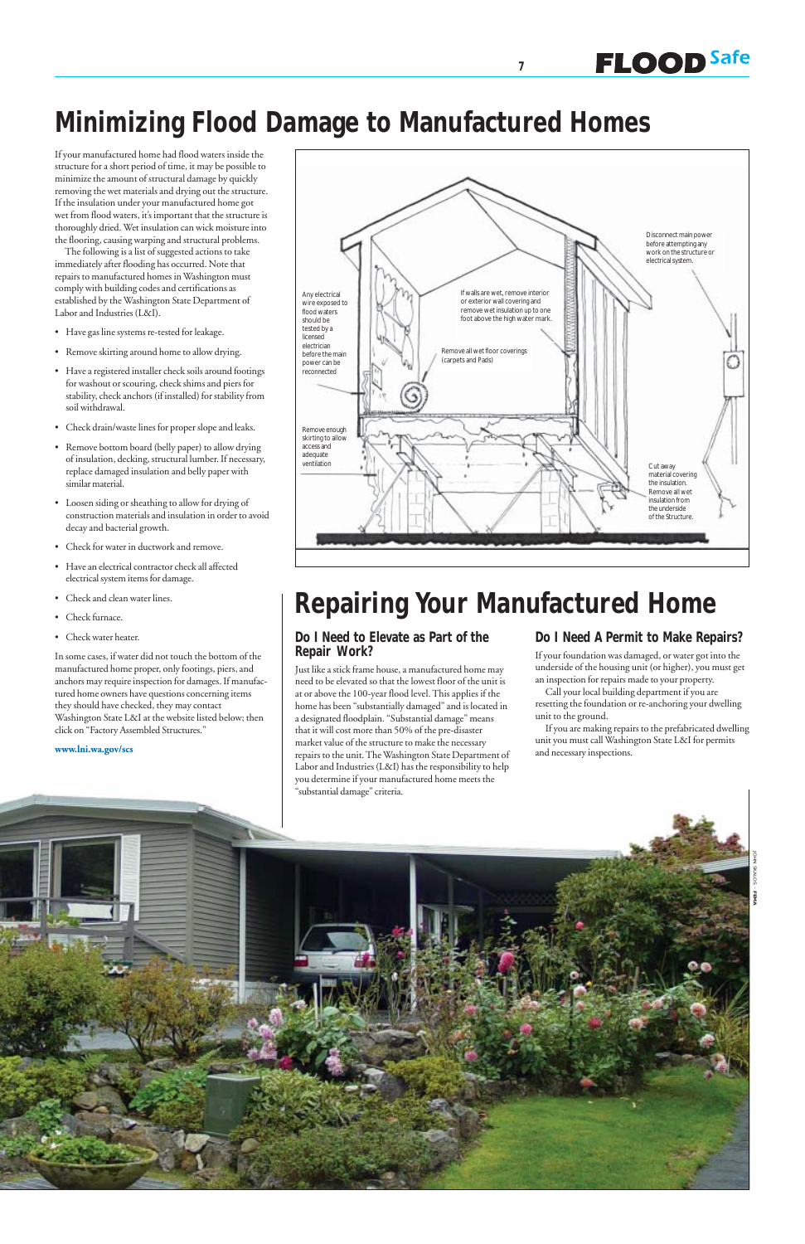**7**

If your manufactured home had flood waters inside the structure for a short period of time, it may be possible to minimize the amount of structural damage by quickly removing the wet materials and drying out the structure. If the insulation under your manufactured home got wet from flood waters, it's important that the structure is thoroughly dried. Wet insulation can wick moisture into the flooring, causing warping and structural problems.

The following is a list of suggested actions to take immediately after flooding has occurred. Note that repairs to manufactured homes in Washington must comply with building codes and certifications as established by the Washington State Department of Labor and Industries (L&I).

- Have gas line systems re-tested for leakage.
- Remove skirting around home to allow drying.
- Have a registered installer check soils around footings for washout or scouring, check shims and piers for stability, check anchors (if installed) for stability from soil withdrawal.
- Check drain/waste lines for proper slope and leaks.
- Remove bottom board (belly paper) to allow drying of insulation, decking, structural lumber. If necessary, replace damaged insulation and belly paper with similar material.
- Loosen siding or sheathing to allow for drying of construction materials and insulation in order to avoid decay and bacterial growth.
- Check for water in ductwork and remove.
- Have an electrical contractor check all affected electrical system items for damage.
- Check and clean water lines.
- Check furnace.
- Check water heater.

In some cases, if water did not touch the bottom of the manufactured home proper, only footings, piers, and anchors may require inspection for damages. If manufactured home owners have questions concerning items they should have checked, they may contact Washington State L&I at the website listed below; then click on "Factory Assembled Structures."

#### **www.lni.wa.gov/scs**

**FLOOD** Safe

# **Minimizing Flood Damage to Manufactured Homes**

### **Do I Need to Elevate as Part of the Repair Work?**

Just like a stick frame house, a manufactured home may need to be elevated so that the lowest floor of the unit is at or above the 100-year flood level. This applies if the home has been "substantially damaged" and is located in a designated floodplain. "Substantial damage" means that it will cost more than 50% of the pre-disaster market value of the structure to make the necessary repairs to the unit. The Washington State Department of Labor and Industries (L&I) has the responsibility to help you determine if your manufactured home meets the "substantial damage" criteria.

### **Do I Need A Permit to Make Repairs?**

If your foundation was damaged, or water got into the underside of the housing unit (or higher), you must get an inspection for repairs made to your property.

Call your local building department if you are resetting the foundation or re-anchoring your dwelling unit to the ground.

If you are making repairs to the prefabricated dwelling unit you must call Washington State L&I for permits and necessary inspections.

## **Repairing Your Manufactured Home**



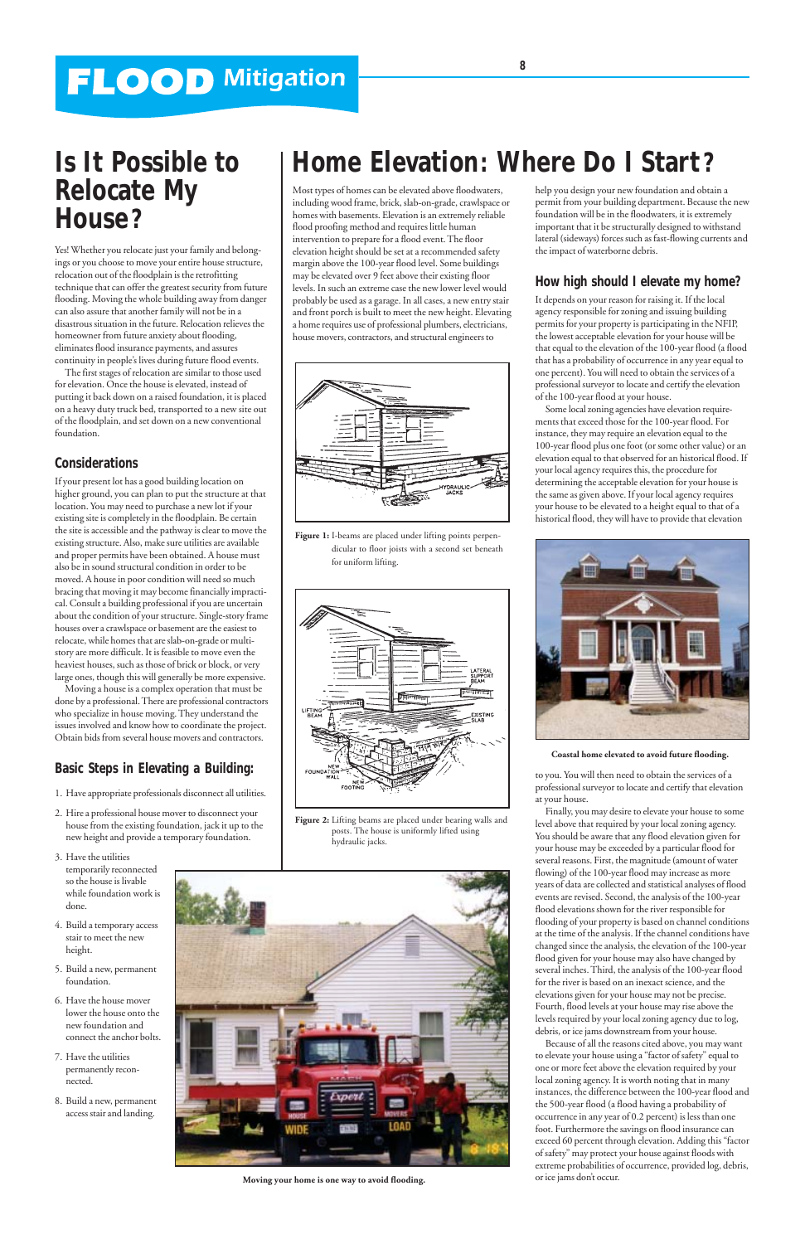

**Figure 2:** Lifting beams are placed under bearing walls and posts. The house is uniformly lifted using hydraulic jacks.



**Figure 1:** I-beams are placed under lifting points perpendicular to floor joists with a second set beneath for uniform lifting.

# **FLOOD Mitigation**

## **Is It Possible to Relocate My House?**

Yes! Whether you relocate just your family and belongings or you choose to move your entire house structure, relocation out of the floodplain is the retrofitting technique that can offer the greatest security from future flooding. Moving the whole building away from danger can also assure that another family will not be in a disastrous situation in the future. Relocation relieves the homeowner from future anxiety about flooding, eliminates flood insurance payments, and assures continuity in people's lives during future flood events.

The first stages of relocation are similar to those used for elevation. Once the house is elevated, instead of putting it back down on a raised foundation, it is placed on a heavy duty truck bed, transported to a new site out of the floodplain, and set down on a new conventional foundation.

### **Considerations**

If your present lot has a good building location on higher ground, you can plan to put the structure at that location. You may need to purchase a new lot if your existing site is completely in the floodplain. Be certain the site is accessible and the pathway is clear to move the existing structure. Also, make sure utilities are available and proper permits have been obtained. A house must also be in sound structural condition in order to be moved. A house in poor condition will need so much bracing that moving it may become financially impractical. Consult a building professional if you are uncertain about the condition of your structure. Single-story frame houses over a crawlspace or basement are the easiest to relocate, while homes that are slab-on-grade or multistory are more difficult. It is feasible to move even the heaviest houses, such as those of brick or block, or very large ones, though this will generally be more expensive.

Moving a house is a complex operation that must be done by a professional. There are professional contractors who specialize in house moving. They understand the issues involved and know how to coordinate the project. Obtain bids from several house movers and contractors.

## **Basic Steps in Elevating a Building:**

1. Have appropriate professionals disconnect all utilities.

- 2. Hire a professional house mover to disconnect your house from the existing foundation, jack it up to the new height and provide a temporary foundation.
- 3. Have the utilities temporarily reconnected so the house is livable while foundation work is done.

- 4. Build a temporary access stair to meet the new height.
- 5. Build a new, permanent foundation.
- 6. Have the house mover lower the house onto the new foundation and connect the anchor bolts.
- 7. Have the utilities permanently reconnected.
- 8. Build a new, permanent access stair and landing.



help you design your new foundation and obtain a permit from your building department. Because the new foundation will be in the floodwaters, it is extremely important that it be structurally designed to withstand lateral (sideways) forces such as fast-flowing currents and the impact of waterborne debris.

## **How high should I elevate my home?**

It depends on your reason for raising it. If the local agency responsible for zoning and issuing building permits for your property is participating in the NFIP, the lowest acceptable elevation for your house will be that equal to the elevation of the 100-year flood (a flood that has a probability of occurrence in any year equal to one percent). You will need to obtain the services of a professional surveyor to locate and certify the elevation of the 100-year flood at your house.

Some local zoning agencies have elevation requirements that exceed those for the 100-year flood. For instance, they may require an elevation equal to the 100-year flood plus one foot (or some other value) or an elevation equal to that observed for an historical flood. If your local agency requires this, the procedure for determining the acceptable elevation for your house is the same as given above. If your local agency requires your house to be elevated to a height equal to that of a historical flood, they will have to provide that elevation

to you. You will then need to obtain the services of a professional surveyor to locate and certify that elevation at your house.

Finally, you may desire to elevate your house to some level above that required by your local zoning agency. You should be aware that any flood elevation given for your house may be exceeded by a particular flood for several reasons. First, the magnitude (amount of water flowing) of the 100-year flood may increase as more years of data are collected and statistical analyses of flood events are revised. Second, the analysis of the 100-year flood elevations shown for the river responsible for flooding of your property is based on channel conditions at the time of the analysis. If the channel conditions have changed since the analysis, the elevation of the 100-year flood given for your house may also have changed by several inches. Third, the analysis of the 100-year flood for the river is based on an inexact science, and the elevations given for your house may not be precise. Fourth, flood levels at your house may rise above the levels required by your local zoning agency due to log, debris, or ice jams downstream from your house. Because of all the reasons cited above, you may want to elevate your house using a "factor of safety" equal to one or more feet above the elevation required by your local zoning agency. It is worth noting that in many instances, the difference between the 100-year flood and the 500-year flood (a flood having a probability of occurrence in any year of 0.2 percent) is less than one foot. Furthermore the savings on flood insurance can exceed 60 percent through elevation. Adding this "factor of safety" may protect your house against floods with extreme probabilities of occurrence, provided log, debris, or ice jams don't occur.

Most types of homes can be elevated above floodwaters, including wood frame, brick, slab-on-grade, crawlspace or homes with basements. Elevation is an extremely reliable flood proofing method and requires little human intervention to prepare for a flood event. The floor elevation height should be set at a recommended safety margin above the 100-year flood level. Some buildings may be elevated over 9 feet above their existing floor levels. In such an extreme case the new lower level would probably be used as a garage. In all cases, a new entry stair and front porch is built to meet the new height. Elevating a home requires use of professional plumbers, electricians, house movers, contractors, and structural engineers to



**Moving your home is one way to avoid flooding.**



**Coastal home elevated to avoid future flooding.**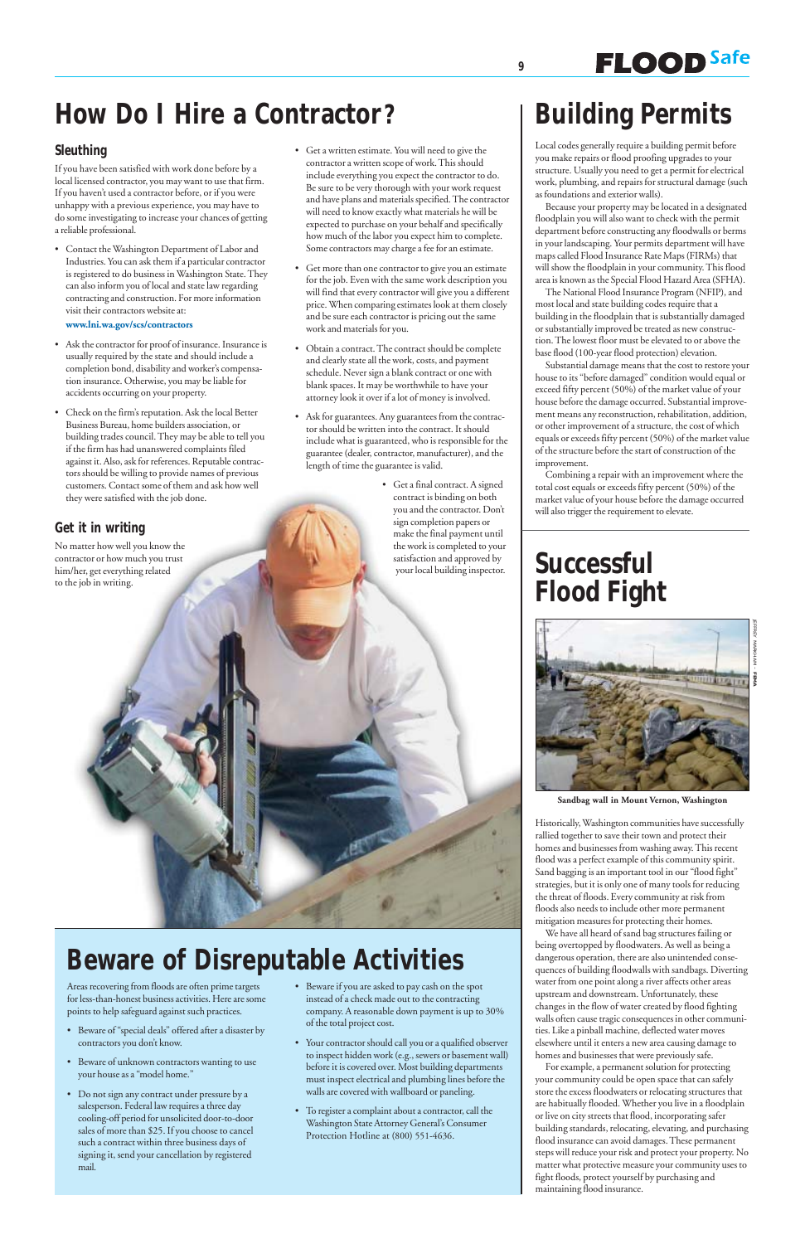**9**

# **How Do I Hire a Contractor?**

## **Sleuthing**

If you have been satisfied with work done before by a local licensed contractor, you may want to use that firm. If you haven't used a contractor before, or if you were unhappy with a previous experience, you may have to do some investigating to increase your chances of getting a reliable professional.

• Contact the Washington Department of Labor and Industries. You can ask them if a particular contractor is registered to do business in Washington State. They can also inform you of local and state law regarding contracting and construction. For more information visit their contractors website at:

**www.lni.wa.gov/scs/contractors**

- Ask the contractor for proof of insurance. Insurance is usually required by the state and should include a completion bond, disability and worker's compensation insurance. Otherwise, you may be liable for accidents occurring on your property.
- Check on the firm's reputation. Ask the local Better Business Bureau, home builders association, or building trades council. They may be able to tell you if the firm has had unanswered complaints filed against it. Also, ask for references. Reputable contractors should be willing to provide names of previous customers. Contact some of them and ask how well they were satisfied with the job done.

## **Get it in writing**

No matter how well you know the contractor or how much you trust him/her, get everything related to the job in writing.

- Get a written estimate. You will need to give the contractor a written scope of work. This should include everything you expect the contractor to do. Be sure to be very thorough with your work request and have plans and materials specified. The contractor will need to know exactly what materials he will be expected to purchase on your behalf and specifically how much of the labor you expect him to complete. Some contractors may charge a fee for an estimate.
- Get more than one contractor to give you an estimate for the job. Even with the same work description you will find that every contractor will give you a different price. When comparing estimates look at them closely and be sure each contractor is pricing out the same work and materials for you.
- Obtain a contract. The contract should be complete and clearly state all the work, costs, and payment schedule. Never sign a blank contract or one with blank spaces. It may be worthwhile to have your attorney look it over if a lot of money is involved.
- Ask for guarantees. Any guarantees from the contractor should be written into the contract. It should include what is guaranteed, who is responsible for the guarantee (dealer, contractor, manufacturer), and the length of time the guarantee is valid.
	- Get a final contract. A signed contract is binding on both you and the contractor. Don't sign completion papers or make the final payment until the work is completed to your satisfaction and approved by your local building inspector.

# **Beware of Disreputable Activities**

# **Building Permits**

**FLOOD** Safe

Local codes generally require a building permit before you make repairs or flood proofing upgrades to your structure. Usually you need to get a permit for electrical work, plumbing, and repairs for structural damage (such as foundations and exterior walls).

Because your property may be located in a designated floodplain you will also want to check with the permit department before constructing any floodwalls or berms in your landscaping. Your permits department will have maps called Flood Insurance Rate Maps (FIRMs) that will show the floodplain in your community. This flood area is known as the Special Flood Hazard Area (SFHA).

The National Flood Insurance Program (NFIP), and most local and state building codes require that a building in the floodplain that is substantially damaged or substantially improved be treated as new construction. The lowest floor must be elevated to or above the base flood (100-year flood protection) elevation.

- Beware of "special deals" offered after a disaster by contractors you don't know.
- Beware of unknown contractors wanting to use your house as a "model home."
- Do not sign any contract under pressure by a salesperson. Federal law requires a three day cooling-off period for unsolicited door-to-door sales of more than \$25. If you choose to cancel such a contract within three business days of signing it, send your cancellation by registered mail.
- Beware if you are asked to pay cash on the spot instead of a check made out to the contracting company. A reasonable down payment is up to 30% of the total project cost.
- Your contractor should call you or a qualified observer to inspect hidden work (e.g., sewers or basement wall) before it is covered over. Most building departments must inspect electrical and plumbing lines before the walls are covered with wallboard or paneling.
- To register a complaint about a contractor, call the Washington State Attorney General's Consumer Protection Hotline at (800) 551-4636.

Substantial damage means that the cost to restore your house to its "before damaged" condition would equal or exceed fifty percent (50%) of the market value of your house before the damage occurred. Substantial improvement means any reconstruction, rehabilitation, addition, or other improvement of a structure, the cost of which equals or exceeds fifty percent (50%) of the market value of the structure before the start of construction of the improvement.

Combining a repair with an improvement where the total cost equals or exceeds fifty percent (50%) of the market value of your house before the damage occurred will also trigger the requirement to elevate.

Areas recovering from floods are often prime targets for less-than-honest business activities. Here are some points to help safeguard against such practices.

# **Successful Flood Fight**



Historically, Washington communities have successfully rallied together to save their town and protect their homes and businesses from washing away. This recent flood was a perfect example of this community spirit. Sand bagging is an important tool in our "flood fight" strategies, but it is only one of many tools for reducing the threat of floods. Every community at risk from floods also needs to include other more permanent mitigation measures for protecting their homes. We have all heard of sand bag structures failing or being overtopped by floodwaters. As well as being a dangerous operation, there are also unintended consequences of building floodwalls with sandbags. Diverting water from one point along a river affects other areas upstream and downstream. Unfortunately, these changes in the flow of water created by flood fighting walls often cause tragic consequences in other communities. Like a pinball machine, deflected water moves elsewhere until it enters a new area causing damage to homes and businesses that were previously safe. For example, a permanent solution for protecting your community could be open space that can safely store the excess floodwaters or relocating structures that are habitually flooded. Whether you live in a floodplain or live on city streets that flood, incorporating safer building standards, relocating, elevating, and purchasing flood insurance can avoid damages. These permanent steps will reduce your risk and protect your property. No matter what protective measure your community uses to fight floods, protect yourself by purchasing and maintaining flood insurance.

JEFFREY MARKHAM –

**FEMA**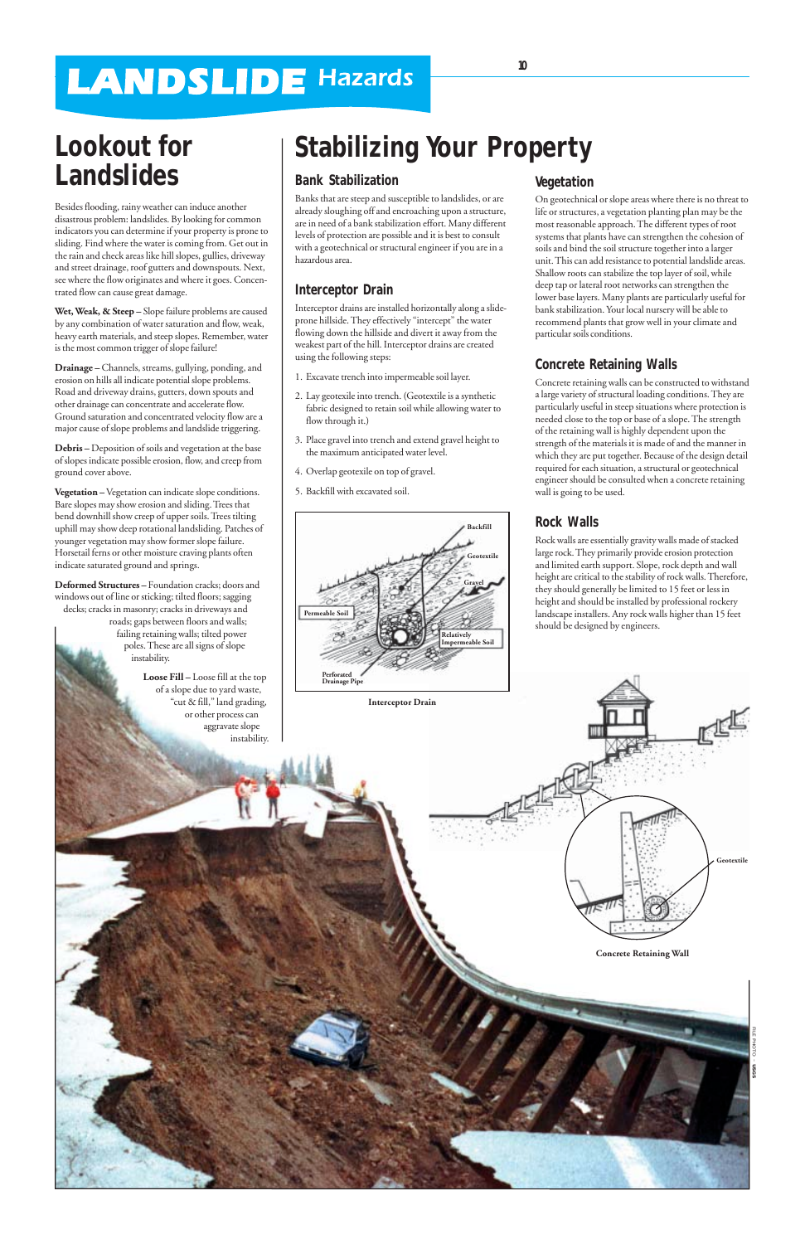# **LANDSLIDE Hazards**

# **Lookout for Landslides**

Besides flooding, rainy weather can induce another disastrous problem: landslides. By looking for common indicators you can determine if your property is prone to sliding. Find where the water is coming from. Get out in the rain and check areas like hill slopes, gullies, driveway and street drainage, roof gutters and downspouts. Next, see where the flow originates and where it goes. Concentrated flow can cause great damage.

**Wet, Weak, & Steep –** Slope failure problems are caused by any combination of water saturation and flow, weak, heavy earth materials, and steep slopes. Remember, water is the most common trigger of slope failure!

**Drainage –** Channels, streams, gullying, ponding, and erosion on hills all indicate potential slope problems. Road and driveway drains, gutters, down spouts and other drainage can concentrate and accelerate flow. Ground saturation and concentrated velocity flow are a major cause of slope problems and landslide triggering.

**Debris –** Deposition of soils and vegetation at the base of slopes indicate possible erosion, flow, and creep from ground cover above.

**Vegetation –** Vegetation can indicate slope conditions. Bare slopes may show erosion and sliding. Trees that bend downhill show creep of upper soils. Trees tilting uphill may show deep rotational landsliding. Patches of younger vegetation may show former slope failure. Horsetail ferns or other moisture craving plants often indicate saturated ground and springs.

**Deformed Structures –** Foundation cracks; doors and windows out of line or sticking; tilted floors; sagging decks; cracks in masonry; cracks in driveways and roads; gaps between floors and walls; failing retaining walls; tilted power poles. These are all signs of slope instability.

> **Loose Fill –** Loose fill at the top of a slope due to yard waste, "cut & fill," land grading, or other process can aggravate slope instability.

### **Bank Stabilization**

Banks that are steep and susceptible to landslides, or are already sloughing off and encroaching upon a structure, are in need of a bank stabilization effort. Many different levels of protection are possible and it is best to consult with a geotechnical or structural engineer if you are in a hazardous area.

## **Interceptor Drain**

Interceptor drains are installed horizontally along a slideprone hillside. They effectively "intercept" the water flowing down the hillside and divert it away from the weakest part of the hill. Interceptor drains are created using the following steps:

- 1. Excavate trench into impermeable soil layer.
- 2. Lay geotexile into trench. (Geotextile is a synthetic fabric designed to retain soil while allowing water to flow through it.)
- 3. Place gravel into trench and extend gravel height to the maximum anticipated water level.
- 4. Overlap geotexile on top of gravel.
- 5. Backfill with excavated soil.

## **Vegetation**

On geotechnical or slope areas where there is no threat to life or structures, a vegetation planting plan may be the most reasonable approach. The different types of root systems that plants have can strengthen the cohesion of soils and bind the soil structure together into a larger unit. This can add resistance to potential landslide areas. Shallow roots can stabilize the top layer of soil, while deep tap or lateral root networks can strengthen the lower base layers. Many plants are particularly useful for bank stabilization. Your local nursery will be able to recommend plants that grow well in your climate and particular soils conditions.

## **Concrete Retaining Walls**

Concrete retaining walls can be constructed to withstand a large variety of structural loading conditions. They are particularly useful in steep situations where protection is needed close to the top or base of a slope. The strength of the retaining wall is highly dependent upon the strength of the materials it is made of and the manner in which they are put together. Because of the design detail required for each situation, a structural or geotechnical engineer should be consulted when a concrete retaining wall is going to be used.

## **Rock Walls**

Rock walls are essentially gravity walls made of stacked large rock. They primarily provide erosion protection and limited earth support. Slope, rock depth and wall height are critical to the stability of rock walls. Therefore, they should generally be limited to 15 feet or less in height and should be installed by professional rockery landscape installers. Any rock walls higher than 15 feet should be designed by engineers.

# **Stabilizing Your Property**



**Geotextile**



**Interceptor Drain**

**10**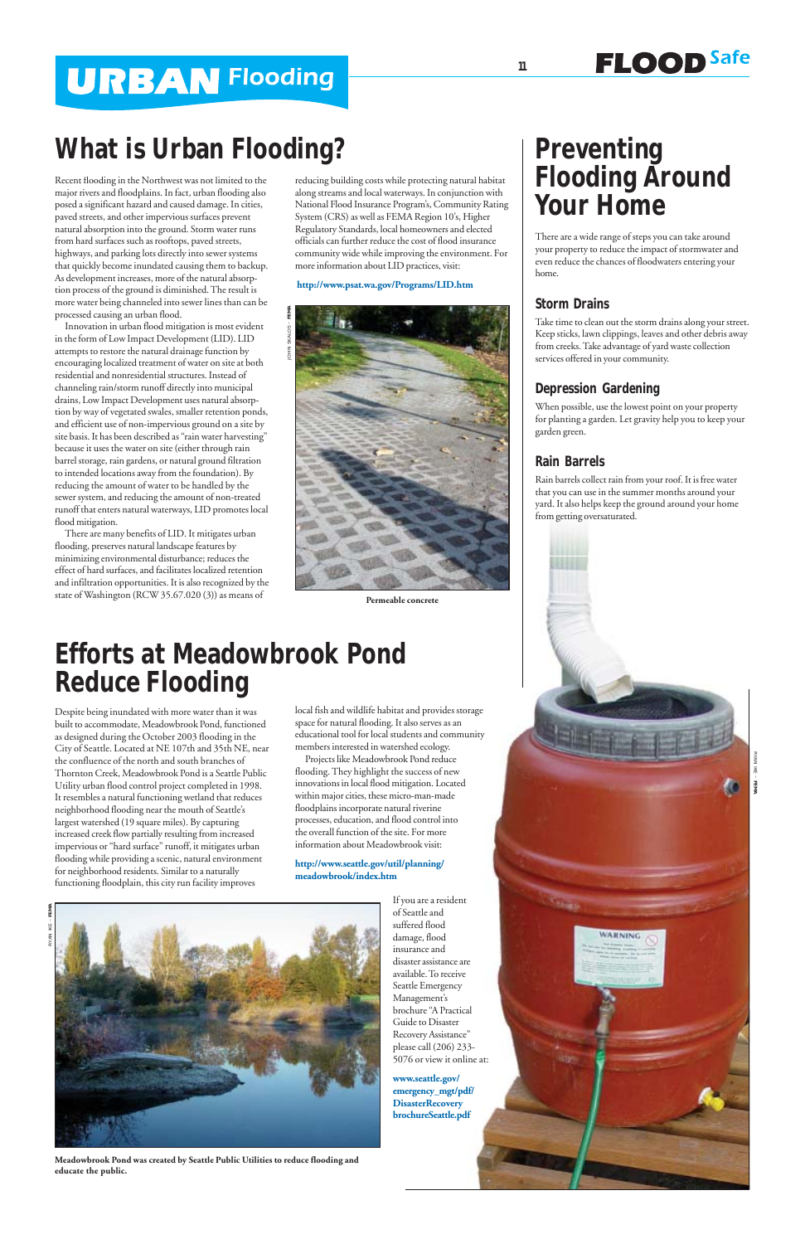# **URBAN Flooding**

Recent flooding in the Northwest was not limited to the major rivers and floodplains. In fact, urban flooding also posed a significant hazard and caused damage. In cities, paved streets, and other impervious surfaces prevent natural absorption into the ground. Storm water runs from hard surfaces such as rooftops, paved streets, highways, and parking lots directly into sewer systems that quickly become inundated causing them to backup. As development increases, more of the natural absorption process of the ground is diminished. The result is more water being channeled into sewer lines than can be processed causing an urban flood.

Innovation in urban flood mitigation is most evident in the form of Low Impact Development (LID). LID attempts to restore the natural drainage function by encouraging localized treatment of water on site at both residential and nonresidential structures. Instead of channeling rain/storm runoff directly into municipal drains, Low Impact Development uses natural absorption by way of vegetated swales, smaller retention ponds, and efficient use of non-impervious ground on a site by site basis. It has been described as "rain water harvesting" because it uses the water on site (either through rain barrel storage, rain gardens, or natural ground filtration to intended locations away from the foundation). By reducing the amount of water to be handled by the sewer system, and reducing the amount of non-treated runoff that enters natural waterways, LID promotes local flood mitigation.

There are many benefits of LID. It mitigates urban flooding, preserves natural landscape features by minimizing environmental disturbance; reduces the effect of hard surfaces, and facilitates localized retention and infiltration opportunities. It is also recognized by the state of Washington (RCW 35.67.020 (3)) as means of

## **Preventing Flooding Around Your Home**

**FLOOD** Safe

There are a wide range of steps you can take around your property to reduce the impact of stormwater and even reduce the chances of floodwaters entering your home.

#### **Storm Drains**

Take time to clean out the storm drains along your street. Keep sticks, lawn clippings, leaves and other debris away from creeks. Take advantage of yard waste collection services offered in your community.

### **Depression Gardening**

When possible, use the lowest point on your property for planting a garden. Let gravity help you to keep your garden green.

### **Rain Barrels**

Rain barrels collect rain from your roof. It is free water that you can use in the summer months around your yard. It also helps keep the ground around your home from getting oversaturated.



WARNING

reducing building costs while protecting natural habitat along streams and local waterways. In conjunction with National Flood Insurance Program's, Community Rating System (CRS) as well as FEMA Region 10's, Higher Regulatory Standards, local homeowners and elected officials can further reduce the cost of flood insurance community wide while improving the environment. For more information about LID practices, visit:

#### **http://www.psat.wa.gov/Programs/LID.htm**

Despite being inundated with more water than it was built to accommodate, Meadowbrook Pond, functioned as designed during the October 2003 flooding in the City of Seattle. Located at NE 107th and 35th NE, near the confluence of the north and south branches of Thornton Creek, Meadowbrook Pond is a Seattle Public Utility urban flood control project completed in 1998. It resembles a natural functioning wetland that reduces neighborhood flooding near the mouth of Seattle's largest watershed (19 square miles). By capturing increased creek flow partially resulting from increased impervious or "hard surface" runoff, it mitigates urban flooding while providing a scenic, natural environment for neighborhood residents. Similar to a naturally functioning floodplain, this city run facility improves

## **Efforts at Meadowbrook Pond Reduce Flooding**

local fish and wildlife habitat and provides storage space for natural flooding. It also serves as an educational tool for local students and community members interested in watershed ecology.

Projects like Meadowbrook Pond reduce flooding. They highlight the success of new innovations in local flood mitigation. Located within major cities, these micro-man-made floodplains incorporate natural riverine processes, education, and flood control into the overall function of the site. For more information about Meadowbrook visit:

#### **http://www.seattle.gov/util/planning/ meadowbrook/index.htm**

If you are a resident of Seattle and suffered flood damage, flood insurance and disaster assistance are available. To receive Seattle Emergency Management's brochure "A Practical Guide to Disaster Recovery Assistance" please call (206) 233- 5076 or view it online at:

**www.seattle.gov/ emergency\_mgt/pdf/ DisasterRecovery brochureSeattle.pdf**



**Permeable concrete**

## **What is Urban Flooding?**

ŠК



**Meadowbrook Pond was created by Seattle Public Utilities to reduce flooding and educate the public.**